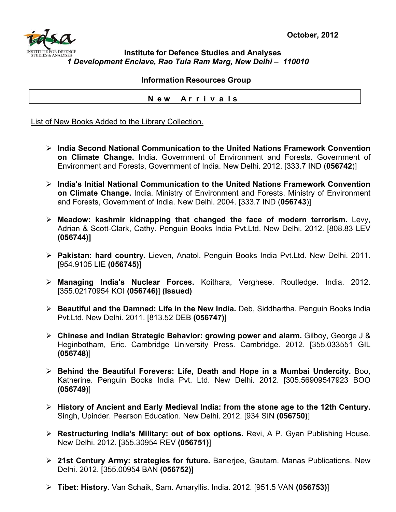

## **Institute for Defence Studies and Analyses** *1 Development Enclave, Rao Tula Ram Marg, New Delhi – 110010*

## **Information Resources Group**

 **N e w A r r i v a l s**

List of New Books Added to the Library Collection.

- ¾ **India Second National Communication to the United Nations Framework Convention on Climate Change.** India. Government of Environment and Forests. Government of Environment and Forests, Government of India. New Delhi. 2012. [333.7 IND (**056742**)]
- ¾ **India's Initial National Communication to the United Nations Framework Convention on Climate Change.** India. Ministry of Environment and Forests. Ministry of Environment and Forests, Government of India. New Delhi. 2004. [333.7 IND (**056743**)]
- ¾ **Meadow: kashmir kidnapping that changed the face of modern terrorism.** Levy, Adrian & Scott-Clark, Cathy. Penguin Books India Pvt.Ltd. New Delhi. 2012. [808.83 LEV **(056744)]**
- ¾ **Pakistan: hard country.** Lieven, Anatol. Penguin Books India Pvt.Ltd. New Delhi. 2011. [954.9105 LIE **(056745)**]
- ¾ **Managing India's Nuclear Forces.** Koithara, Verghese. Routledge. India. 2012. [355.02170954 KOI **(056746)**] **(Issued)**
- ¾ **Beautiful and the Damned: Life in the New India.** Deb, Siddhartha. Penguin Books India Pvt.Ltd. New Delhi. 2011. [813.52 DEB **(056747)**]
- ¾ **Chinese and Indian Strategic Behavior: growing power and alarm.** Gilboy, George J & Heginbotham, Eric. Cambridge University Press. Cambridge. 2012. [355.033551 GIL **(056748)**]
- ¾ **Behind the Beautiful Forevers: Life, Death and Hope in a Mumbai Undercity.** Boo, Katherine. Penguin Books India Pvt. Ltd. New Delhi. 2012. [305.56909547923 BOO **(056749)**]
- ¾ **History of Ancient and Early Medieval India: from the stone age to the 12th Century.** Singh, Upinder. Pearson Education. New Delhi. 2012. [934 SIN **(056750)**]
- ¾ **Restructuring India's Military: out of box options.** Revi, A P. Gyan Publishing House. New Delhi. 2012. [355.30954 REV **(056751)**]
- ¾ **21st Century Army: strategies for future.** Banerjee, Gautam. Manas Publications. New Delhi. 2012. [355.00954 BAN **(056752)**]
- ¾ **Tibet: History.** Van Schaik, Sam. Amaryllis. India. 2012. [951.5 VAN **(056753)**]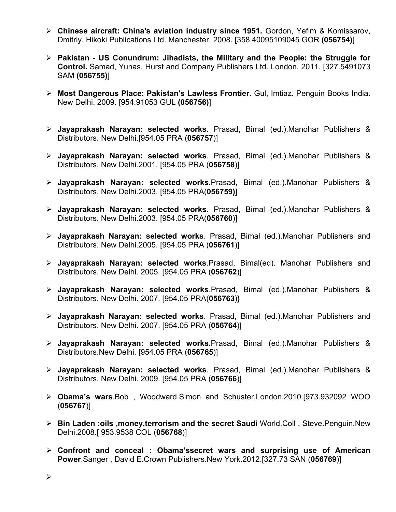- ¾ **Chinese aircraft: China's aviation industry since 1951.** Gordon, Yefim & Komissarov, Dmitriy. Hikoki Publications Ltd. Manchester. 2008. [358.40095109045 GOR **(056754)**]
- ¾ **Pakistan US Conundrum: Jihadists, the Military and the People: the Struggle for Control.** Samad, Yunas. Hurst and Company Publishers Ltd. London. 2011. [327.5491073 SAM **(056755)**]
- ¾ **Most Dangerous Place: Pakistan's Lawless Frontier.** Gul, Imtiaz. Penguin Books India. New Delhi. 2009. [954.91053 GUL **(056756)**]
- ¾ **Jayaprakash Narayan: selected works**. Prasad, Bimal (ed.).Manohar Publishers & Distributors. New Delhi.[954.05 PRA (**056757**)]
- ¾ **Jayaprakash Narayan: selected works**. Prasad, Bimal (ed.).Manohar Publishers & Distributors. New Delhi.2001. [954.05 PRA (**056758**)]
- ¾ **Jayaprakash Narayan: selected works.**Prasad, Bimal (ed.).Manohar Publishers & Distributors. New Delhi.2003. [954.05 PRA(**056759)**]
- ¾ **Jayaprakash Narayan: selected works**. Prasad, Bimal (ed.).Manohar Publishers & Distributors. New Delhi.2003. [954.05 PRA(**056760**)]
- ¾ **Jayaprakash Narayan: selected works**. Prasad, Bimal (ed.).Manohar Publishers and Distributors. New Delhi.2005. [954.05 PRA (**056761**)]
- ¾ **Jayaprakash Narayan: selected works**.Prasad, Bimal(ed). Manohar Publishers and Distributors. New Delhi. 2005. [954.05 PRA (**056762**)]
- ¾ **Jayaprakash Narayan: selected works**.Prasad, Bimal (ed.).Manohar Publishers & Distributors. New Delhi. 2007. [954.05 PRA(**056763**)}
- ¾ **Jayaprakash Narayan: selected works**. Prasad, Bimal (ed.).Manohar Publishers and Distributors. New Delhi. 2007. [954.05 PRA (**056764**)]
- ¾ **Jayaprakash Narayan: selected works.**Prasad, Bimal (ed.).Manohar Publishers & Distributors.New Delhi. [954.05 PRA (**056765**)]
- ¾ **Jayaprakash Narayan: selected works**. Prasad, Bimal (ed.).Manohar Publishers & Distributors. New Delhi. 2009. [954.05 PRA (**056766**)]
- ¾ **Obama's wars**.Bob , Woodward.Simon and Schuster.London.2010.[973.932092 WOO (**056767**)]
- ¾ **Bin Laden :oils ,money,terrorism and the secret Saudi** World.Coll , Steve.Penguin.New Delhi.2008.[ 953.9538 COL (**056768**)]
- ¾ **Confront and conceal : Obama'ssecret wars and surprising use of American Power**.Sanger , David E.Crown Publishers.New York.2012.[327.73 SAN (**056769**)]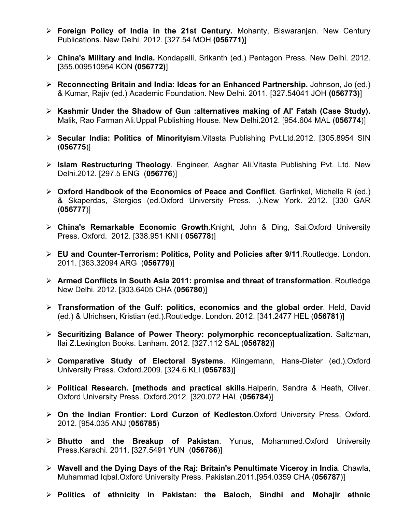- ¾ **Foreign Policy of India in the 21st Century.** Mohanty, Biswaranjan. New Century Publications. New Delhi. 2012. [327.54 MOH **(056771)**]
- ¾ **China's Military and India.** Kondapalli, Srikanth (ed.) Pentagon Press. New Delhi. 2012. [355.009510954 KON **(056772)**]
- ¾ **Reconnecting Britain and India: Ideas for an Enhanced Partnership.** Johnson, Jo (ed.) & Kumar, Rajiv (ed.) Academic Foundation. New Delhi. 2011. [327.54041 JOH **(056773)**]
- ¾ **Kashmir Under the Shadow of Gun :alternatives making of Al' Fatah (Case Study).** Malik, Rao Farman Ali.Uppal Publishing House. New Delhi.2012. [954.604 MAL (**056774**)]
- ¾ **Secular India: Politics of Minorityism**.Vitasta Publishing Pvt.Ltd.2012. [305.8954 SIN (**056775**)]
- ¾ **Islam Restructuring Theology**. Engineer, Asghar Ali.Vitasta Publishing Pvt. Ltd. New Delhi.2012. [297.5 ENG (**056776**)]
- ¾ **Oxford Handbook of the Economics of Peace and Conflict**. Garfinkel, Michelle R (ed.) & Skaperdas, Stergios (ed.Oxford University Press. .).New York. 2012. [330 GAR (**056777**)]
- ¾ **China's Remarkable Economic Growth**.Knight, John & Ding, Sai.Oxford University Press. Oxford. 2012. [338.951 KNI ( **056778**)]
- ¾ **EU and Counter-Terrorism: Politics, Polity and Policies after 9/11**.Routledge. London. 2011. [363.32094 ARG (**056779**)]
- ¾ **Armed Conflicts in South Asia 2011: promise and threat of transformation**. Routledge New Delhi. 2012. [303.6405 CHA (**056780**)]
- ¾ **Transformation of the Gulf: politics**, **economics and the global order**. Held, David (ed.) & Ulrichsen, Kristian (ed.).Routledge. London. 2012. [341.2477 HEL (**056781**)]
- ¾ **Securitizing Balance of Power Theory: polymorphic reconceptualization**. Saltzman, Ilai Z.Lexington Books. Lanham. 2012. [327.112 SAL (**056782**)]
- ¾ **Comparative Study of Electoral Systems**. Klingemann, Hans-Dieter (ed.).Oxford University Press. Oxford.2009. [324.6 KLI (**056783**)]
- ¾ **Political Research. [methods and practical skills**.Halperin, Sandra & Heath, Oliver. Oxford University Press. Oxford.2012. [320.072 HAL (**056784**)]
- ¾ **On the Indian Frontier: Lord Curzon of Kedleston**.Oxford University Press. Oxford. 2012. [954.035 ANJ (**056785**)
- ¾ **Bhutto and the Breakup of Pakistan**. Yunus, Mohammed.Oxford University Press.Karachi. 2011. [327.5491 YUN (**056786**)]
- ¾ **Wavell and the Dying Days of the Raj: Britain's Penultimate Viceroy in India**. Chawla, Muhammad Iqbal.Oxford University Press. Pakistan.2011.[954.0359 CHA (**056787**)]
- ¾ **Politics of ethnicity in Pakistan: the Baloch, Sindhi and Mohajir ethnic**